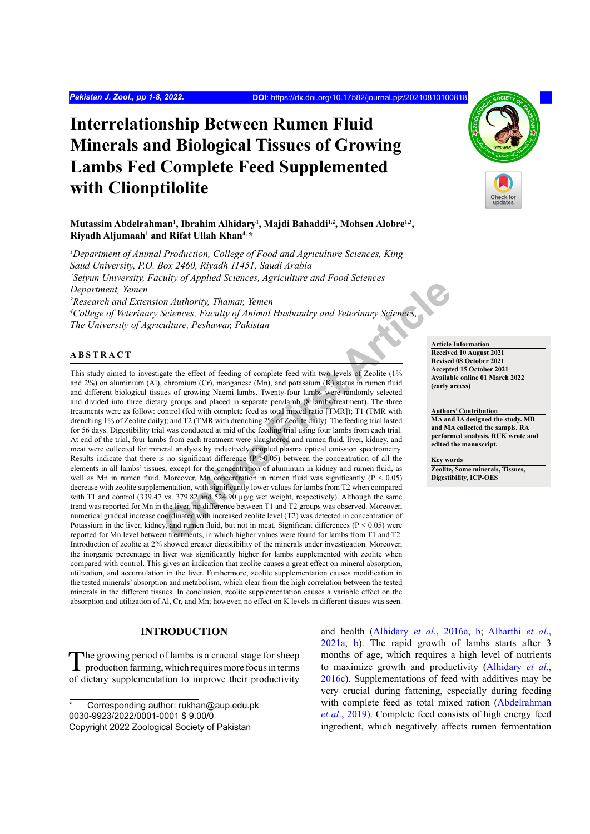# **Interrelationship Between Rumen Fluid Minerals and Biological Tissues of Growing Lambs Fed Complete Feed Supplemented with Clionptilolite**

## **Mutassim Abdelrahman1 , Ibrahim Alhidary1 , Majdi Bahaddi1,2, Mohsen Alobre1,3, Riyadh Aljumaah1 and Rifat Ullah Khan4, \***

*1 Department of Animal Production, College of Food and Agriculture Sciences, King Saud University, P.O. Box 2460, Riyadh 11451, Saudi Arabia 2 Seiyun University, Faculty of Applied Sciences, Agriculture and Food Sciences Department, Yemen 3 Research and Extension Authority, Thamar, Yemen 4 College of Veterinary Sciences, Faculty of Animal Husbandry and Veterinary Sciences, The University of Agriculture, Peshawar, Pakistan*

#### **ABSTRACT**

**On Authority, Thamar, Yemen Sciences, 1.5, retains a sint 1 sole sciences and Sciences, Faculty of Animal Husbandry and Veterinary Sciences, Exciting Sciences, Faculty of Animal Husbandry and Veterinary Sciences, excitati** This study aimed to investigate the effect of feeding of complete feed with two levels of Zeolite (1% and 2%) on aluminium (Al), chromium (Cr), manganese (Mn), and potassium (K) status in rumen fluid and different biological tissues of growing Naemi lambs. Twenty-four lambs were randomly selected and divided into three dietary groups and placed in separate pen/lamb (8 lambs/treatment). The three treatments were as follow: control (fed with complete feed as total mixed ratio [TMR]); T1 (TMR with drenching 1% of Zeolite daily); and T2 (TMR with drenching 2% of Zeolite daily). The feeding trial lasted for 56 days. Digestibility trial was conducted at mid of the feeding trial using four lambs from each trial. At end of the trial, four lambs from each treatment were slaughtered and rumen fluid, liver, kidney, and meat were collected for mineral analysis by inductively coupled plasma optical emission spectrometry. Results indicate that there is no significant difference ( $P > 0.05$ ) between the concentration of all the elements in all lambs' tissues, except for the concentration of aluminum in kidney and rumen fluid, as well as Mn in rumen fluid. Moreover, Mn concentration in rumen fluid was significantly  $(P < 0.05)$ decrease with zeolite supplementation, with significantly lower values for lambs from T2 when compared with T1 and control (339.47 vs. 379.82 and 524.90 µg/g wet weight, respectively). Although the same trend was reported for Mn in the liver, no difference between T1 and T2 groups was observed. Moreover, numerical gradual increase coordinated with increased zeolite level (T2) was detected in concentration of Potassium in the liver, kidney, and rumen fluid, but not in meat. Significant differences ( $P < 0.05$ ) were reported for Mn level between treatments, in which higher values were found for lambs from T1 and T2. Introduction of zeolite at 2% showed greater digestibility of the minerals under investigation. Moreover, the inorganic percentage in liver was significantly higher for lambs supplemented with zeolite when compared with control. This gives an indication that zeolite causes a great effect on mineral absorption, utilization, and accumulation in the liver. Furthermore, zeolite supplementation causes modification in the tested minerals' absorption and metabolism, which clear from the high correlation between the tested minerals in the different tissues. In conclusion, zeolite supplementation causes a variable effect on the absorption and utilization of Al, Cr, and Mn; however, no effect on K levels in different tissues was seen.

# **INTRODUCTION**

The growing period of lambs is a crucial stage for sheep production farming, which requires more focus in terms of dietary supplementation to improve their productivity

and health ([Alhidary](#page-6-0) *et al*., 2016a, [b](#page-6-1); [Alharthi](#page-6-2) *et al*., [2021a](#page-6-2), [b\)](#page-6-1). The rapid growth of lambs starts after 3 months of age, which requires a high level of nutrients to maximize growth and productivity ([Alhidary](#page-6-3) *et al*., [2016c](#page-6-3)). Supplementations of feed with additives may be very crucial during fattening, especially during feeding with complete feed as total mixed ration [\(Abdelrahman](#page-6-4) *et al*[., 2019](#page-6-4)). Complete feed consists of high energy feed ingredient, which negatively affects rumen fermentation

**Article Information Received 10 August 2021 Revised 08 October 2021 Accepted 15 October 2021 Available online 01 March 2022 (early access)**

#### **Authors' Contribution**

**MA and IA designed the study. MB and MA collected the sampls. RA performed analysis. RUK wrote and edited the manuscript.** 

#### **Key words**

**Zeolite, Some minerals, Tissues, Digestibility, ICP-OES**



Corresponding author: rukhan@aup.edu.pk 0030-9923/2022/0001-0001 \$ 9.00/0 Copyright 2022 Zoological Society of Pakistan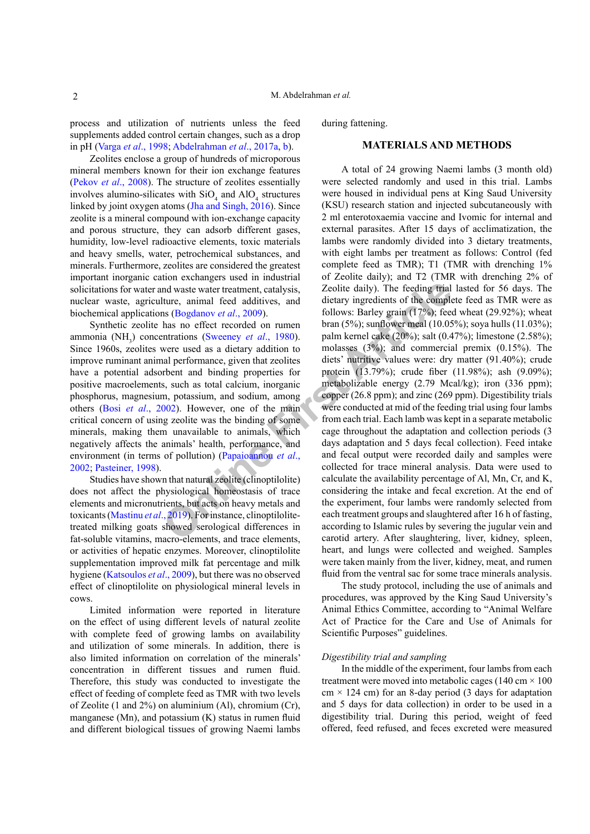process and utilization of nutrients unless the feed supplements added control certain changes, such as a drop in pH (Varga *et al*[., 1998;](#page-7-0) [Abdelrahman](#page-6-5) *et al*., 2017a, [b\)](#page-6-6).

Zeolites enclose a group of hundreds of microporous mineral members known for their ion exchange features (Pekov *et al*[., 2008](#page-7-1)). The structure of zeolites essentially involves alumino-silicates with  $SiO_4$  and  $AlO_4$  structures linked by joint oxygen atoms [\(Jha and Singh, 2016\)](#page-6-7). Since zeolite is a mineral compound with ion-exchange capacity and porous structure, they can adsorb different gases, humidity, low-level radioactive elements, toxic materials and heavy smells, water, petrochemical substances, and minerals. Furthermore, zeolites are considered the greatest important inorganic cation exchangers used in industrial solicitations for water and waste water treatment, catalysis, nuclear waste, agriculture, animal feed additives, and biochemical applications (Bogdanov *et al*., 2009).

Synthetic zeolite has no effect recorded on rumen ammonia (NH<sub>3</sub>) concentrations (Sweeney *et al.*, 1980). Since 1960s, zeolites were used as a dietary addition to improve ruminant animal performance, given that zeolites have a potential adsorbent and binding properties for positive macroelements, such as total calcium, inorganic phosphorus, magnesium, potassium, and sodium, among others (Bosi *et al*[., 2002](#page-6-9)). However, one of the main critical concern of using zeolite was the binding of some minerals, making them unavailable to animals, which negatively affects the animals' health, performance, and environment (in terms of pollution) (Papaioannou *et al*., [2002](#page-7-3); [Pasteiner, 19](#page-7-4)98).

Studies have shown that natural zeolite (clinoptilolite) does not affect the physiological homeostasis of trace elements and micronutrients, but acts on heavy metals and toxicants (Mastinu *et al*., 2019). For instance, clinoptilolitetreated milking goats showed serological differences in fat-soluble vitamins, macro-elements, and trace elements, or activities of hepatic enzymes. Moreover, clinoptilolite supplementation improved milk fat percentage and milk hygiene ([Katsoulos](#page-6-10) *et al*., 2009), but there was no observed effect of clinoptilolite on physiological mineral levels in cows.

Limited information were reported in literature on the effect of using different levels of natural zeolite with complete feed of growing lambs on availability and utilization of some minerals. In addition, there is also limited information on correlation of the minerals' concentration in different tissues and rumen fluid. Therefore, this study was conducted to investigate the effect of feeding of complete feed as TMR with two levels of Zeolite (1 and 2%) on aluminium (Al), chromium (Cr), manganese (Mn), and potassium (K) status in rumen fluid and different biological tissues of growing Naemi lambs during fattening.

#### **MATERIALS AND METHODS**

and waste water treatment, catalysis,<br> **I** and waste water treatment, catalysis,<br>
Il ture, animal feed additives, and dietary ingredients of the comples<br>
Il ture, animal feed additives, and dietary ingredients of the comp A total of 24 growing Naemi lambs (3 month old) were selected randomly and used in this trial. Lambs were housed in individual pens at King Saud University (KSU) research station and injected subcutaneously with 2 ml enterotoxaemia vaccine and Ivomic for internal and external parasites. After 15 days of acclimatization, the lambs were randomly divided into 3 dietary treatments, with eight lambs per treatment as follows: Control (fed complete feed as TMR); T1 (TMR with drenching 1% of Zeolite daily); and T2 (TMR with drenching 2% of Zeolite daily). The feeding trial lasted for 56 days. The dietary ingredients of the complete feed as TMR were as follows: Barley grain (17%); feed wheat (29.92%); wheat bran (5%); sunflower meal (10.05%); soya hulls (11.03%); palm kernel cake (20%); salt (0.47%); limestone (2.58%); molasses (3%); and commercial premix (0.15%). The diets' nutritive values were: dry matter (91.40%); crude protein (13.79%); crude fiber (11.98%); ash (9.09%); metabolizable energy (2.79 Mcal/kg); iron (336 ppm); copper (26.8 ppm); and zinc (269 ppm). Digestibility trials were conducted at mid of the feeding trial using four lambs from each trial. Each lamb was kept in a separate metabolic cage throughout the adaptation and collection periods (3 days adaptation and 5 days fecal collection). Feed intake and fecal output were recorded daily and samples were collected for trace mineral analysis. Data were used to calculate the availability percentage of Al, Mn, Cr, and K, considering the intake and fecal excretion. At the end of the experiment, four lambs were randomly selected from each treatment groups and slaughtered after 16 h of fasting, according to Islamic rules by severing the jugular vein and carotid artery. After slaughtering, liver, kidney, spleen, heart, and lungs were collected and weighed. Samples were taken mainly from the liver, kidney, meat, and rumen fluid from the ventral sac for some trace minerals analysis.

> The study protocol, including the use of animals and procedures, was approved by the King Saud University's Animal Ethics Committee, according to "Animal Welfare Act of Practice for the Care and Use of Animals for Scientific Purposes" guidelines.

#### *Digestibility trial and sampling*

In the middle of the experiment, four lambs from each treatment were moved into metabolic cages ( $140 \text{ cm} \times 100$ )  $cm \times 124$  cm) for an 8-day period (3 days for adaptation and 5 days for data collection) in order to be used in a digestibility trial. During this period, weight of feed offered, feed refused, and feces excreted were measured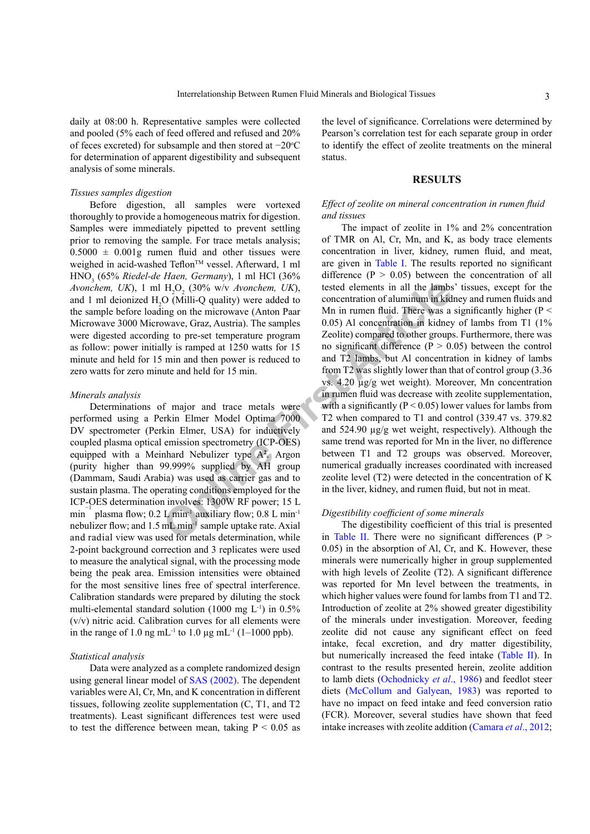daily at 08:00 h. Representative samples were collected and pooled (5% each of feed offered and refused and 20% of feces excreted) for subsample and then stored at -20 °C for determination of apparent digestibility and subsequent analysis of some minerals.

#### *Tissues samples digestion*

Before digestion, all samples were vortexed thoroughly to provide a homogeneous matrix for digestion. Samples were immediately pipetted to prevent settling prior to removing the sample. For trace metals analysis;  $0.5000 \pm 0.001$ g rumen fluid and other tissues were weighed in acid-washed Teflon™ vessel. Afterward, 1 ml HNO<sup>3</sup> (65% *Riedel-de Haen, Germany*), 1 ml HCl (36% *Avonchem, UK*), 1 ml  $H_2O_2$  (30% w/v *Avonchem, UK*), and 1 ml deionized  $H_2O$  (Milli-Q quality) were added to the sample before loading on the microwave (Anton Paar Microwave 3000 Microwave, Graz, Austria). The samples were digested according to pre-set temperature program as follow: power initially is ramped at 1250 watts for 15 minute and held for 15 min and then power is reduced to zero watts for zero minute and held for 15 min.

#### *Minerals analysis*

Determinations of major and trace metals were performed using a Perkin Elmer Model Optima 7000 DV spectrometer (Perkin Elmer, USA) for inductively coupled plasma optical emission spectrometry (ICP-OES) equipped with a Meinhard Nebulizer type A**<sup>2</sup>** . Argon (purity higher than 99.999% supplied by AH group (Dammam, Saudi Arabia) was used as carrier gas and to sustain plasma. The operating conditions employed for the ICP-OES determination involves: 1300W RF power; 15 L min<sup>−</sup> plasma flow; 0.2 L min<sup>-1</sup> auxiliary flow; 0.8 L min<sup>-1</sup> nebulizer flow; and 1.5 mL min-1 sample uptake rate. Axial and radial view was used for metals determination, while 2-point background correction and 3 replicates were used to measure the analytical signal, with the processing mode being the peak area. Emission intensities were obtained for the most sensitive lines free of spectral interference. Calibration standards were prepared by diluting the stock multi-elemental standard solution (1000 mg  $L^{-1}$ ) in 0.5% (v/v) nitric acid. Calibration curves for all elements were in the range of 1.0 ng mL<sup>-1</sup> to 1.0 µg mL<sup>-1</sup> (1–1000 ppb).

### *Statistical analysis*

Data were analyzed as a complete randomized design using general linear model of [SAS \(2002\)](#page-7-6). The dependent variables were Al, Cr, Mn, and K concentration in different tissues, following zeolite supplementation (C, T1, and T2 treatments). Least significant differences test were used to test the difference between mean, taking  $P < 0.05$  as

the level of significance. Correlations were determined by Pearson's correlation test for each separate group in order to identify the effect of zeolite treatments on the mineral status.

#### **RESULTS**

#### *Effect of zeolite on mineral concentration in rumen fluid and tissues*

H<sub>2</sub>O<sub>2</sub> (30% w/v Avonchem, UK), tested elements in all the lambs<br>
On (Milli-Q quality) were added to concentration of aluminum in kid<br>
ing on the microwave (Anton Paar Mn in rumen fluid. There was a<br>
one correct temperat The impact of zeolite in 1% and 2% concentration of TMR on Al, Cr, Mn, and K, as body trace elements concentration in liver, kidney, rumen fluid, and meat, are given in [Table I](#page-3-0). The results reported no significant difference  $(P > 0.05)$  between the concentration of all tested elements in all the lambs' tissues, except for the concentration of aluminum in kidney and rumen fluids and Mn in rumen fluid. There was a significantly higher ( $P <$ 0.05) Al concentration in kidney of lambs from T1 (1% Zeolite) compared to other groups. Furthermore, there was no significant difference ( $P > 0.05$ ) between the control and T2 lambs, but Al concentration in kidney of lambs from T2 was slightly lower than that of control group (3.36 vs. 4.20 µg/g wet weight). Moreover, Mn concentration in rumen fluid was decrease with zeolite supplementation, with a significantly ( $P < 0.05$ ) lower values for lambs from T2 when compared to T1 and control (339.47 vs. 379.82 and 524.90 µg/g wet weight, respectively). Although the same trend was reported for Mn in the liver, no difference between T1 and T2 groups was observed. Moreover, numerical gradually increases coordinated with increased zeolite level (T2) were detected in the concentration of K in the liver, kidney, and rumen fluid, but not in meat.

#### *Digestibility coefficient of some minerals*

The digestibility coefficient of this trial is presented in Table II. There were no significant differences ( $P >$ 0.05) in the absorption of Al, Cr, and K. However, these minerals were numerically higher in group supplemented with high levels of Zeolite (T2). A significant difference was reported for Mn level between the treatments, in which higher values were found for lambs from T1 and T2. Introduction of zeolite at 2% showed greater digestibility of the minerals under investigation. Moreover, feeding zeolite did not cause any significant effect on feed intake, fecal excretion, and dry matter digestibility, but numerically increased the feed intake ([Table II\)](#page-3-1). In contrast to the results presented herein, zeolite addition to lamb diets (Ochodnicky *et al*., 1986) and feedlot steer diets ([McCollum and Galyean, 1983](#page-7-7)) was reported to have no impact on feed intake and feed conversion ratio (FCR). Moreover, several studies have shown that feed intake increases with zeolite addition (Camara *et al*., 2012;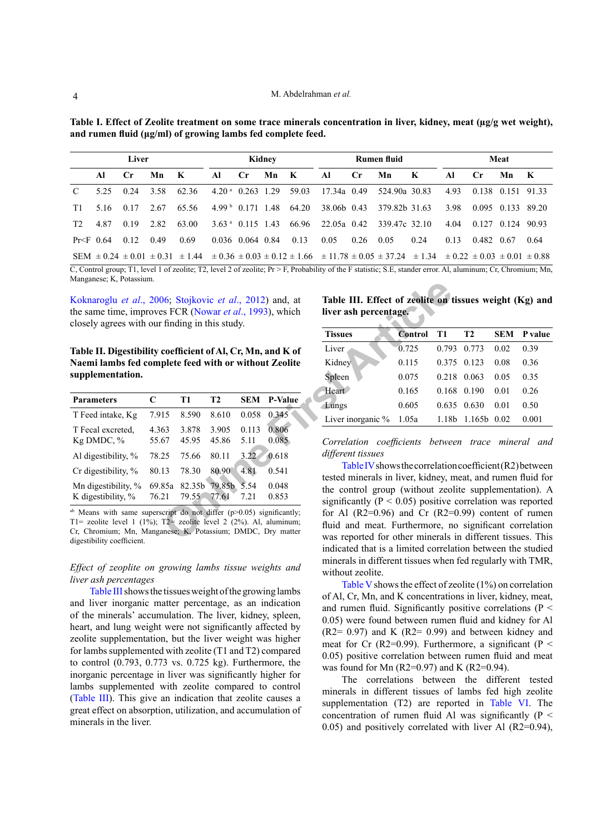<span id="page-3-0"></span>**Table I. Effect of Zeolite treatment on some trace minerals concentration in liver, kidney, meat (µg/g wet weight), and rumen fluid (μg/ml) of growing lambs fed complete feed.**

| Liver          |       |                |      |                                                                                                                                                                                       |                    |                              | Kidney |       |             | Rumen fluid    |               | Meat |      |                   |                   |              |
|----------------|-------|----------------|------|---------------------------------------------------------------------------------------------------------------------------------------------------------------------------------------|--------------------|------------------------------|--------|-------|-------------|----------------|---------------|------|------|-------------------|-------------------|--------------|
|                | Al    | $\mathbf{C}$ r | Mn   | K                                                                                                                                                                                     | AL                 | $\mathbf{C}$ r               | Mn K   |       | AL          | $\mathbf{C}$ r | Mn            | K    | Al   | $C_{\rm r}$       | Mn                | $\mathbf{K}$ |
| $\mathcal{C}$  | 525   | 0.24           | 3.58 | 62.36                                                                                                                                                                                 | $4.20a$ 0.263 1.29 |                              |        | 59.03 | 17.34a 0.49 |                | 524.90a 30.83 |      | 4.93 | 0.138 0.151 91.33 |                   |              |
| T1             | 5 1 6 | 0.17           | 2.67 | 65.56                                                                                                                                                                                 |                    | $4.99b$ 0.171 1.48           |        | 64.20 | 38.06b 0.43 |                | 379.82b 31.63 |      | 3.98 |                   | 0.095 0.133 89.20 |              |
| T <sub>2</sub> | 487   | 0.19           | 2.82 | 63.00                                                                                                                                                                                 |                    | 3.63 <sup>a</sup> 0.115 1.43 |        | 66.96 | 22.05a 0.42 |                | 339.47c 32.10 |      | 4.04 | 0.127 0.124       |                   | -90.93       |
| $Pr < F$ 0.64  |       | 0.12           | 0.49 | 0.69                                                                                                                                                                                  |                    | 0.036 0.064 0.84             |        | 0.13  | 0.05        | 0.26           | 0.05          | 0.24 | 0.13 | 0.482             | -0.67             | 0.64         |
|                |       |                |      | SEM $\pm$ 0.24 $\pm$ 0.01 $\pm$ 0.31 $\pm$ 1.44 $\pm$ 0.36 $\pm$ 0.03 $\pm$ 0.12 $\pm$ 1.66 $\pm$ 11.78 $\pm$ 0.05 $\pm$ 37.24 $\pm$ 1.34 $\pm$ 0.22 $\pm$ 0.03 $\pm$ 0.01 $\pm$ 0.88 |                    |                              |        |       |             |                |               |      |      |                   |                   |              |

 $\overline{C}$ , Control group; T1, level 1 of zeolite; T2, level 2 of zeolite; Pr > F, Probability of the F statistic; S.E, stander error. Al, aluminum; Cr, Chromium; Mn, Manganese; K, Potassium.

<span id="page-3-1"></span>**Table II. Digestibility coefficient of Al, Cr, Mn, and K of Naemi lambs fed complete feed with or without Zeolite supplementation.**

| 1.1                                                                                                                                                                           |        |                |           |            |                |                                                                       |                |       |
|-------------------------------------------------------------------------------------------------------------------------------------------------------------------------------|--------|----------------|-----------|------------|----------------|-----------------------------------------------------------------------|----------------|-------|
| Koknaroglu et al., 2006; Stojkovic et al., 2012) and, at<br>the same time, improves FCR (Nowar <i>et al.</i> , 1993), which<br>closely agrees with our finding in this study. |        |                |           |            |                | Table III. Effect of zeolite on<br>liver ash percentage.              |                |       |
|                                                                                                                                                                               |        |                |           |            |                | <b>Tissues</b>                                                        | <b>Control</b> | T1    |
| Table II. Digestibility coefficient of Al, Cr, Mn, and K of                                                                                                                   |        |                |           |            |                | Liver                                                                 | 0.725          | 0.79  |
| Naemi lambs fed complete feed with or without Zeolite                                                                                                                         |        |                |           |            |                | Kidney                                                                | 0.115          | 0.37  |
| supplementation.                                                                                                                                                              |        |                |           |            |                | Spleen                                                                | 0.075          | 0.21  |
|                                                                                                                                                                               |        |                |           |            |                | Heart                                                                 | 0.165          | 0.16  |
| <b>Parameters</b>                                                                                                                                                             | C      | T <sub>1</sub> | <b>T2</b> | <b>SEM</b> | <b>P-Value</b> | Lungs                                                                 | 0.605          | 0.63  |
| T Feed intake, Kg                                                                                                                                                             | 7.915  | 8.590          | 8.610     | 0.058      | 0.345          | Liver inorganic %                                                     | 1.05a          | 1.18  |
| T Fecal excreted.                                                                                                                                                             | 4.363  | 3.878          | 3.905     | 0.113      | 0.806          |                                                                       |                |       |
| Kg DMDC, %                                                                                                                                                                    | 55.67  | 45.95          | 45.86     | 5.11       | 0.085          | Correlation coefficients                                              |                | betwe |
| Al digestibility, %                                                                                                                                                           | 78.25  | 75.66          | 80.11     | 3.22       | 0.618          | different tissues                                                     |                |       |
| Cr digestibility, %                                                                                                                                                           | 80.13  | 78.30          | 80.90     | 4.81       | 0.541          | Table IV shows the correlation                                        |                |       |
| Mn digestibility, %                                                                                                                                                           | 69.85a | 82.35b         | 79.85b    | 5.54       | 0.048          | tested minerals in liver, kidney, r<br>the control group (without zeo |                |       |
| K digestibility, %                                                                                                                                                            | 76.21  | 79.55          | 77.61     | 7.21       | 0.853          | significantly ( $P < 0.05$ ) positive                                 |                |       |
| <sup>ab</sup> Means with same superscript do not differ $(p>0.05)$ significantly;                                                                                             |        |                |           |            |                | for Al $(R2=0.96)$ and Cr $(R2=$                                      |                |       |
| T1= zeolite level 1 (1%); T2= zeolite level 2 (2%). Al, aluminum;<br>Cr. Chromium; Mn. Manganese; K. Potassium; DMDC, Dry matter                                              |        |                |           |            |                | fluid and meat. Furthermore, n                                        |                |       |
| digactibility coafficient                                                                                                                                                     |        |                |           |            |                | was reported for other minerals                                       |                |       |

<sup>ab</sup> Means with same superscript do not differ  $(p>0.05)$  significantly; T1= zeolite level 1 (1%); T2= zeolite level 2 (2%). Al, aluminum; Cr, Chromium; Mn, Manganese; K, Potassium; DMDC, Dry matter digestibility coefficient.

### *Effect of zeoplite on growing lambs tissue weights and liver ash percentages*

[Table III](#page-3-2) shows the tissues weight of the growing lambs and liver inorganic matter percentage, as an indication of the minerals' accumulation. The liver, kidney, spleen, heart, and lung weight were not significantly affected by zeolite supplementation, but the liver weight was higher for lambs supplemented with zeolite (T1 and T2) compared to control (0.793, 0.773 vs. 0.725 kg). Furthermore, the inorganic percentage in liver was significantly higher for lambs supplemented with zeolite compared to control [\(Table III\)](#page-3-2). This give an indication that zeolite causes a great effect on absorption, utilization, and accumulation of minerals in the liver.

<span id="page-3-2"></span>**Table III. Effect of zeolite on tissues weight (Kg) and liver ash percentage.**

| <b>Tissues</b>             | <b>Control</b> | - T1  | T <sub>2</sub> | <b>SEM</b> | P value |
|----------------------------|----------------|-------|----------------|------------|---------|
| Liver                      | 0.725          | 0.793 | 0.773          | 0.02       | 0.39    |
| Kidney                     | 0.115          |       | 0.375 0.123    | 0.08       | 0.36    |
| Spleen                     | 0.075          | 0.218 | 0.063          | 0.05       | 0.35    |
| Heart                      | 0.165          |       | 0.168 0.190    | 0.01       | 0.26    |
| Lungs                      | 0.605          |       | 0.635 0.630    | 0.01       | 0.50    |
| Liver inorganic $\%$ 1.05a |                | 1.18b | $1.165b$ 0.02  |            | 0.001   |
|                            |                |       |                |            |         |

*Correlation coefficients between trace mineral and different tissues* 

Table IV shows the correlation coefficient (R2) between tested minerals in liver, kidney, meat, and rumen fluid for the control group (without zeolite supplementation). A significantly ( $P < 0.05$ ) positive correlation was reported for Al  $(R2=0.96)$  and Cr  $(R2=0.99)$  content of rumen fluid and meat. Furthermore, no significant correlation was reported for other minerals in different tissues. This indicated that is a limited correlation between the studied minerals in different tissues when fed regularly with TMR, without zeolite.

[Table V](#page-4-1) shows the effect of zeolite (1%) on correlation of Al, Cr, Mn, and K concentrations in liver, kidney, meat, and rumen fluid. Significantly positive correlations ( $P \leq$ 0.05) were found between rumen fluid and kidney for Al  $(R2= 0.97)$  and K  $(R2= 0.99)$  and between kidney and meat for Cr (R2=0.99). Furthermore, a significant (P  $\leq$ 0.05) positive correlation between rumen fluid and meat was found for Mn  $(R2=0.97)$  and K  $(R2=0.94)$ .

The correlations between the different tested minerals in different tissues of lambs fed high zeolite supplementation (T2) are reported in [Table VI.](#page-5-0) The concentration of rumen fluid Al was significantly  $(P \leq$ 0.05) and positively correlated with liver Al (R2=0.94),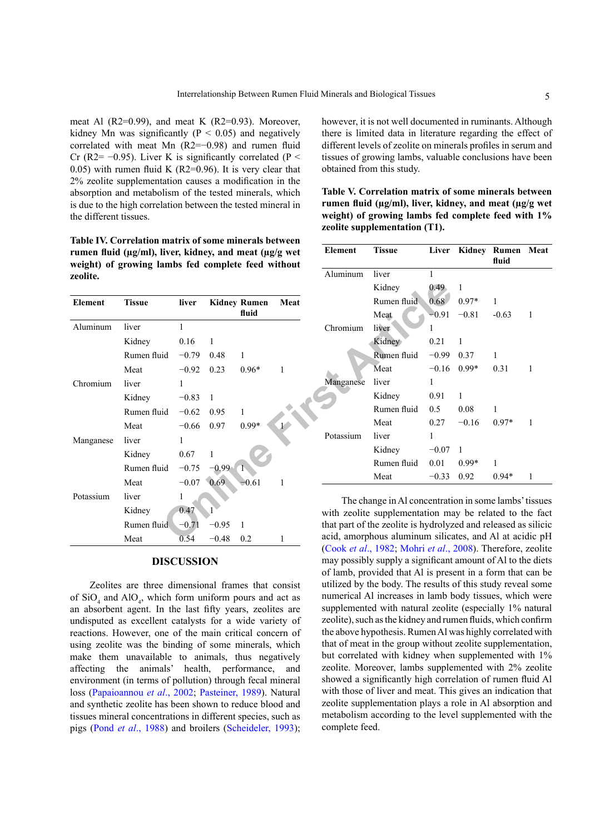meat Al (R2=0.99), and meat K (R2=0.93). Moreover, kidney Mn was significantly ( $P < 0.05$ ) and negatively correlated with meat Mn (R2=−0.98) and rumen fluid Cr (R2=  $-0.95$ ). Liver K is significantly correlated (P < 0.05) with rumen fluid K  $(R2=0.96)$ . It is very clear that 2% zeolite supplementation causes a modification in the absorption and metabolism of the tested minerals, which is due to the high correlation between the tested mineral in the different tissues.

<span id="page-4-0"></span>**Table IV. Correlation matrix of some minerals between rumen fluid (µg/ml), liver, kidney, and meat (µg/g wet weight) of growing lambs fed complete feed without zeolite.**

|           |               |              |         |                     |      |           | Kidney                                                          | 0.49    |  |  |  |
|-----------|---------------|--------------|---------|---------------------|------|-----------|-----------------------------------------------------------------|---------|--|--|--|
| Element   | <b>Tissue</b> | liver        |         | <b>Kidney Rumen</b> | Meat |           | Rumen fluid                                                     | 0.68    |  |  |  |
|           |               |              |         | fluid               |      |           | Meat                                                            | $-0.91$ |  |  |  |
| Aluminum  | liver         | $\mathbf{1}$ |         |                     |      | Chromium  | liver                                                           |         |  |  |  |
|           | Kidney        | 0.16         | 1       |                     |      |           | Kidney                                                          | 0.21    |  |  |  |
|           | Rumen fluid   | $-0.79$      | 0.48    | 1                   |      |           | Rumen fluid                                                     | $-0.99$ |  |  |  |
|           | Meat          | $-0.92$      | 0.23    | $0.96*$             | 1    |           | Meat                                                            | $-0.16$ |  |  |  |
| Chromium  | liver         | 1            |         |                     |      | Manganese | liver                                                           | 1       |  |  |  |
|           | Kidney        | $-0.83$      | 1       |                     |      |           | Kidney                                                          | 0.91    |  |  |  |
|           | Rumen fluid   | $-0.62$      | 0.95    |                     |      |           | Rumen fluid                                                     | 0.5     |  |  |  |
|           | Meat          | $-0.66$      | 0.97    | $0.99*$             |      |           | Meat                                                            | 0.27    |  |  |  |
| Manganese | liver         | 1            |         |                     |      | Potassium | liver                                                           | 1       |  |  |  |
|           | Kidney        | 0.67         | 1       |                     |      |           | Kidney                                                          | $-0.07$ |  |  |  |
|           | Rumen fluid   | $-0.75$      | $-0.99$ |                     |      |           | Rumen fluid                                                     | 0.01    |  |  |  |
|           | Meat          | $-0.07$      | 0.69    | $-0.61$             |      |           | Meat                                                            | $-0.33$ |  |  |  |
| Potassium | liver         | 1            |         |                     |      |           | The change in Al concentrati                                    |         |  |  |  |
|           | Kidney        | 0.47         |         |                     |      |           | with zeolite supplementation ma                                 |         |  |  |  |
|           | Rumen fluid   | $-0.71$      | $-0.95$ |                     |      |           | that part of the zeolite is hydrolyz                            |         |  |  |  |
|           | Meat          | 0.54         | $-0.48$ | 0.2                 | 1    |           | acid, amorphous aluminum silica<br>(0, 1, 1, 1, 1000, M1, 1, 1) |         |  |  |  |

#### **DISCUSSION**

Zeolites are three dimensional frames that consist of  $SiO_4$  and  $AlO_4$ , which form uniform pours and act as an absorbent agent. In the last fifty years, zeolites are undisputed as excellent catalysts for a wide variety of reactions. However, one of the main critical concern of using zeolite was the binding of some minerals, which make them unavailable to animals, thus negatively affecting the animals' health, performance, and environment (in terms of pollution) through fecal mineral loss ([Papaioannou](#page-7-3) *et al*., 2002; [Pasteiner, 1989](#page-7-4)). Natural and synthetic zeolite has been shown to reduce blood and tissues mineral concentrations in different species, such as pigs (Pond *et al*[., 1988](#page-7-11)) and broilers ([Scheideler, 1993](#page-7-12));

however, it is not well documented in ruminants. Although there is limited data in literature regarding the effect of different levels of zeolite on minerals profiles in serum and tissues of growing lambs, valuable conclusions have been obtained from this study.

<span id="page-4-1"></span>

| Table V. Correlation matrix of some minerals between               |
|--------------------------------------------------------------------|
| rumen fluid ( $\mu$ g/ml), liver, kidney, and meat ( $\mu$ g/g wet |
| weight) of growing lambs fed complete feed with 1%                 |
| zeolite supplementation (T1).                                      |
|                                                                    |

| Element   | Tissue      |         |         | Liver Kidney Rumen Meat<br>fluid |   |
|-----------|-------------|---------|---------|----------------------------------|---|
| Aluminum  | liver       | 1       |         |                                  |   |
|           | Kidney      | 0.49    | 1       |                                  |   |
|           | Rumen fluid | 0.68    | $0.97*$ | 1                                |   |
|           | <b>Meat</b> | $-0.91$ | $-0.81$ | $-0.63$                          | 1 |
| Chromium  | liver       | 1       |         |                                  |   |
|           | Kidney      | 0.21    | 1       |                                  |   |
|           | Rumen fluid | –0.99   | 0.37    | 1                                |   |
|           | Meat        | $-0.16$ | $0.99*$ | 0.31                             | 1 |
| Manganese | liver       | 1       |         |                                  |   |
|           | Kidney      | 0.91    | 1       |                                  |   |
|           | Rumen fluid | 0.5     | 0.08    | 1                                |   |
|           | Meat        | 0.27    | $-0.16$ | $0.97*$                          | 1 |
| Potassium | liver       | 1       |         |                                  |   |
|           | Kidney      | $-0.07$ | 1       |                                  |   |
|           | Rumen fluid | 0.01    | $0.99*$ | 1                                |   |
|           | Meat        | $-0.33$ | 0.92    | $0.94*$                          | 1 |

The change in Al concentration in some lambs' tissues with zeolite supplementation may be related to the fact that part of the zeolite is hydrolyzed and released as silicic acid, amorphous aluminum silicates, and Al at acidic pH (Cook *et al*[., 1982](#page-6-11); Mohri *et al*[., 2008](#page-7-13)). Therefore, zeolite may possibly supply a significant amount of Al to the diets of lamb, provided that Al is present in a form that can be utilized by the body. The results of this study reveal some numerical Al increases in lamb body tissues, which were supplemented with natural zeolite (especially 1% natural zeolite), such as the kidney and rumen fluids, which confirm the above hypothesis. Rumen Al was highly correlated with that of meat in the group without zeolite supplementation, but correlated with kidney when supplemented with 1% zeolite. Moreover, lambs supplemented with 2% zeolite showed a significantly high correlation of rumen fluid Al with those of liver and meat. This gives an indication that zeolite supplementation plays a role in Al absorption and metabolism according to the level supplemented with the complete feed.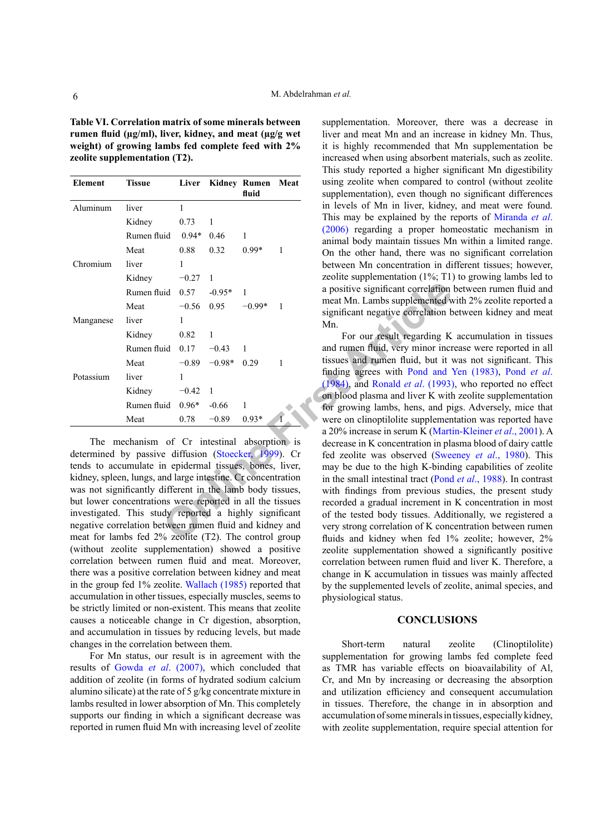<span id="page-5-0"></span>**Table VI. Correlation matrix of some minerals between rumen fluid (µg/ml), liver, kidney, and meat (µg/g wet weight) of growing lambs fed complete feed with 2% zeolite supplementation (T2).**

| Element   | Tissue      | Liver   |          | Kidney Rumen Meat<br>fluid |                |
|-----------|-------------|---------|----------|----------------------------|----------------|
| Aluminum  | liver       | 1       |          |                            |                |
|           | Kidney      | 0.73    | 1        |                            |                |
|           | Rumen fluid | $0.94*$ | 0.46     | 1                          |                |
|           | Meat        | 0.88    | 0.32     | $0.99*$                    | 1              |
| Chromium  | liver       | 1       |          |                            |                |
|           | Kidney      | $-0.27$ | 1        |                            |                |
|           | Rumen fluid | 0.57    | $-0.95*$ | 1                          |                |
|           | Meat        | $-0.56$ | $0.95 -$ | $-0.99*$                   | 1              |
| Manganese | liver       | 1       |          |                            |                |
|           | Kidney      | 0.82    | 1        |                            |                |
|           | Rumen fluid | 0.17    | $-0.43$  | 1                          |                |
|           | Meat        | $-0.89$ | $-0.98*$ | 0.29                       | 1              |
| Potassium | liver       | 1       |          |                            |                |
|           | Kidney      | $-0.42$ | 1        |                            |                |
|           | Rumen fluid | $0.96*$ | $-0.66$  | 1                          |                |
|           | Meat        | 0.78    | $-0.89$  | $0.93*$                    | $\overline{1}$ |

The mechanism of Cr intestinal absorption is determined by passive diffusion (Stoecker, 1999). Cr tends to accumulate in epidermal tissues, bones, liver, kidney, spleen, lungs, and large intestine. Cr concentration was not significantly different in the lamb body tissues, but lower concentrations were reported in all the tissues investigated. This study reported a highly significant negative correlation between rumen fluid and kidney and meat for lambs fed 2% zeolite (T2). The control group (without zeolite supplementation) showed a positive correlation between rumen fluid and meat. Moreover, there was a positive correlation between kidney and meat in the group fed 1% zeolite. [Wallach \(1985\)](#page-7-15) reported that accumulation in other tissues, especially muscles, seems to be strictly limited or non-existent. This means that zeolite causes a noticeable change in Cr digestion, absorption, and accumulation in tissues by reducing levels, but made changes in the correlation between them.

For Mn status, our result is in agreement with the results of Gowda *et al*[. \(2007\)](#page-6-12), which concluded that addition of zeolite (in forms of hydrated sodium calcium alumino silicate) at the rate of 5 g/kg concentrate mixture in lambs resulted in lower absorption of Mn. This completely supports our finding in which a significant decrease was reported in rumen fluid Mn with increasing level of zeolite

supplementation. Moreover, there was a decrease in liver and meat Mn and an increase in kidney Mn. Thus, it is highly recommended that Mn supplementation be increased when using absorbent materials, such as zeolite. This study reported a higher significant Mn digestibility using zeolite when compared to control (without zeolite supplementation), even though no significant differences in levels of Mn in liver, kidney, and meat were found. This may be explained by the reports of [Miranda](#page-7-16) *et al*. [\(2006\)](#page-7-16) regarding a proper homeostatic mechanism in animal body maintain tissues Mn within a limited range. On the other hand, there was no significant correlation between Mn concentration in different tissues; however, zeolite supplementation (1%; T1) to growing lambs led to a positive significant correlation between rumen fluid and meat Mn. Lambs supplemented with 2% zeolite reported a significant negative correlation between kidney and meat Mn.

**Onli[ne F](#page-7-14)ir[st](#page-7-18) [A](#page-7-18)rticle** For our result regarding K accumulation in tissues and rumen fluid, very minor increase were reported in all tissues and rumen fluid, but it was not significant. This finding agrees with [Pond and Yen \(1983\)](#page-7-17), [Pond](#page-7-18) *et al*. (1984), and Ronald *et al*. (1993), who reported no effect on blood plasma and liver K with zeolite supplementation for growing lambs, hens, and pigs. Adversely, mice that were on clinoptilolite supplementation was reported have a 20% increase in serum K (Martin-Kleiner *et al*., 2001). A decrease in K concentration in plasma blood of dairy cattle fed zeolite was observed ([Sweeney](#page-7-2) *et al*., 1980). This may be due to the high K-binding capabilities of zeolite in the small intestinal tract (Pond *et al*[., 1988\)](#page-7-11). In contrast with findings from previous studies, the present study recorded a gradual increment in K concentration in most of the tested body tissues. Additionally, we registered a very strong correlation of K concentration between rumen fluids and kidney when fed 1% zeolite; however, 2% zeolite supplementation showed a significantly positive correlation between rumen fluid and liver K. Therefore, a change in K accumulation in tissues was mainly affected by the supplemented levels of zeolite, animal species, and physiological status.

#### **CONCLUSIONS**

Short-term natural zeolite (Clinoptilolite) supplementation for growing lambs fed complete feed as TMR has variable effects on bioavailability of Al, Cr, and Mn by increasing or decreasing the absorption and utilization efficiency and consequent accumulation in tissues. Therefore, the change in in absorption and accumulation of some minerals in tissues, especially kidney, with zeolite supplementation, require special attention for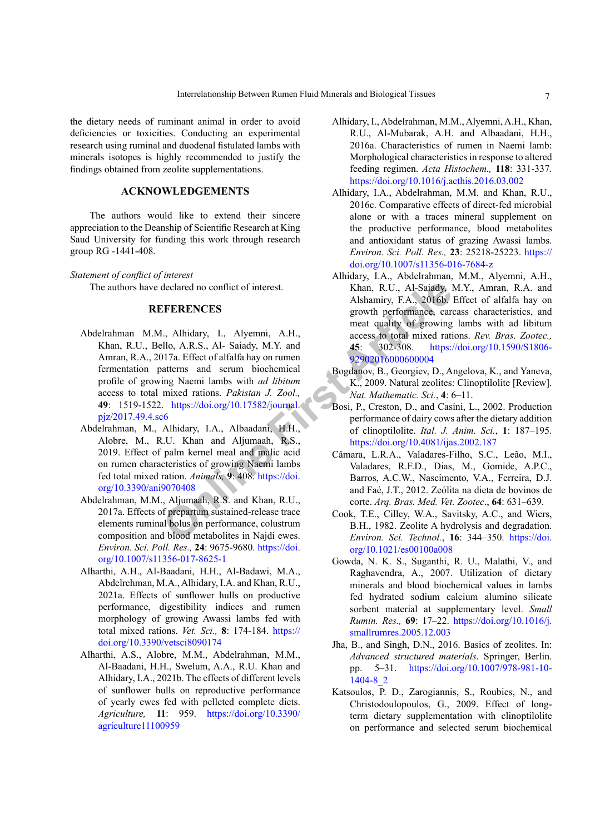the dietary needs of ruminant animal in order to avoid deficiencies or toxicities. Conducting an experimental research using ruminal and duodenal fistulated lambs with minerals isotopes is highly recommended to justify the findings obtained from zeolite supplementations.

# **ACKNOWLEDGEMENTS**

The authors would like to extend their sincere appreciation to the Deanship of Scientific Research at King Saud University for funding this work through research group RG -1441-408.

#### *Statement of conflict of interest*

<span id="page-6-6"></span>The authors have declared no conflict of interest.

## **REFERENCES**

- d[e](https://doi.org/10.3390/ani9070408)clared no conflict of interest.<br> **CERENCES**<br> **CERENCES**<br> **EXERENCES**<br> **EXERENCES**<br> **EXERENCES**<br> **EXERENCES**<br> **EXERENCES**<br> **EXERENCES**<br> **EXERENCES**<br> **EXERENCES**<br> **EXERENCES**<br> **EXERENCES**<br> **EXERENCES**<br> **EXERENCES**<br> **EXEREN** Abdelrahman M.M., Alhidary, I., Alyemni, A.H., Khan, R.U., Bello, A.R.S., Al- Saiady, M.Y. and Amran, R.A., 2017a. Effect of alfalfa hay on rumen fermentation patterns and serum biochemical profile of growing Naemi lambs with *ad libitum* access to total mixed rations. *Pakistan J. Zool.,* **49**: 1519-1522. https://doi.org/10.17582/journal. [pjz/2017.49.4.sc6](https://doi.org/10.17582/journal.pjz/2017.49.4.sc6)
- <span id="page-6-4"></span>Abdelrahman, M., Alhidary, I.A., Albaadani, H.H., Alobre, M., R.U. Khan and Aljumaah, R.S., 2019. Effect of palm kernel meal and malic acid on rumen characteristics of growing Naemi lambs fed total mixed ration. *Animals,* **9**: 408. https://doi. [org/10.3390/ani9070408](https://doi.org/10.3390/ani9070408)
- <span id="page-6-5"></span>Abdelrahman, M.M., Aljumaah, R.S. and Khan, R.U., 2017a. Effects of prepartum sustained-release trace elements ruminal bolus on performance, colustrum composition and blood metabolites in Najdi ewes. *Environ. Sci. Poll. Res.,* **24**: 9675-9680. [https://doi.](https://doi.org/10.1007/s11356-017-8625-1) [org/10.1007/s11356-017-8625-1](https://doi.org/10.1007/s11356-017-8625-1)
- <span id="page-6-0"></span>Alharthi, A.H., Al-Baadani, H.H., Al-Badawi, M.A., Abdelrehman, M.A., Alhidary, I.A. and Khan, R.U., 2021a. Effects of sunflower hulls on productive performance, digestibility indices and rumen morphology of growing Awassi lambs fed with total mixed rations. *Vet. Sci.,* **8**: 174-184. [https://](https://doi.org/10.3390/vetsci8090174) [doi.org/10.3390/vetsci8090174](https://doi.org/10.3390/vetsci8090174)
- <span id="page-6-10"></span><span id="page-6-1"></span>Alharthi, A.S., Alobre, M.M., Abdelrahman, M.M., Al-Baadani, H.H., Swelum, A.A., R.U. Khan and Alhidary, I.A., 2021b. The effects of different levels of sunflower hulls on reproductive performance of yearly ewes fed with pelleted complete diets. *Agriculture,* **11**: 959. [https://doi.org/10.3390/](https://doi.org/10.3390/agriculture11100959) [agriculture11100959](https://doi.org/10.3390/agriculture11100959)
- <span id="page-6-2"></span>Alhidary, I., Abdelrahman, M.M., Alyemni, A.H., Khan, R.U., Al-Mubarak, A.H. and Albaadani, H.H., 2016a. Characteristics of rumen in Naemi lamb: Morphological characteristics in response to altered feeding regimen. *Acta Histochem.,* **118**: 331-337. <https://doi.org/10.1016/j.acthis.2016.03.002>
- <span id="page-6-3"></span>Alhidary, I.A., Abdelrahman, M.M. and Khan, R.U., 2016c. Comparative effects of direct-fed microbial alone or with a traces mineral supplement on the productive performance, blood metabolites and antioxidant status of grazing Awassi lambs. *Environ. Sci. Poll. Res.,* **23**: 25218-25223. [https://](https://doi.org/10.1007/s11356-016-7684-z) [doi.org/10.1007/s11356-016-7684-z](https://doi.org/10.1007/s11356-016-7684-z)
- Alhidary, I.A., Abdelrahman, M.M., Alyemni, A.H., Khan, R.U., Al-Saiady, M.Y., Amran, R.A. and Alshamiry, F.A., 2016b. Effect of alfalfa hay on growth performance, carcass characteristics, and meat quality of growing lambs with ad libitum access to total mixed rations. *Rev. Bras. Zootec.,* **45**: 302-308. [https://doi.org/10.1590/S1806-](https://doi.org/10.1590/S1806-92902016000600004) 92902016000600004
- <span id="page-6-8"></span>Bogdanov, B., Georgiev, D., Angelova, K., and Yaneva, K., 2009. Natural zeolites: Clinoptilolite [Review]. *Nat. Mathematic. Sci.*, **4**: 6–11.
- <span id="page-6-12"></span><span id="page-6-11"></span><span id="page-6-9"></span><span id="page-6-7"></span>Bosi, P., Creston, D., and Casini, L., 2002. Production performance of dairy cows after the dietary addition of clinoptilolite. *Ital. J. Anim. Sci.*, **1**: 187–195. <https://doi.org/10.4081/ijas.2002.187>
	- Câmara, L.R.A., Valadares-Filho, S.C., Leão, M.I., Valadares, R.F.D., Dias, M., Gomide, A.P.C., Barros, A.C.W., Nascimento, V.A., Ferreira, D.J. and Faé, J.T., 2012. Zeólita na dieta de bovinos de corte. *Arq. Bras. Med. Vet. Zootec*., **64**: 631–639.
	- Cook, T.E., Cilley, W.A., Savitsky, A.C., and Wiers, B.H., 1982. Zeolite A hydrolysis and degradation. *Environ. Sci. Technol.*, **16**: 344–350. [https://doi.](https://doi.org/10.1021/es00100a008) [org/10.1021/es00100a008](https://doi.org/10.1021/es00100a008)
	- Gowda, N. K. S., Suganthi, R. U., Malathi, V., and Raghavendra, A., 2007. Utilization of dietary minerals and blood biochemical values in lambs fed hydrated sodium calcium alumino silicate sorbent material at supplementary level. *Small Rumin. Res.,* **69**: 17–22. [https://doi.org/10.1016/j.](https://doi.org/10.1016/j.smallrumres.2005.12.003) [smallrumres.2005.12.003](https://doi.org/10.1016/j.smallrumres.2005.12.003)
	- Jha, B., and Singh, D.N., 2016. Basics of zeolites. In: *Advanced structured materials*. Springer, Berlin. pp. 5–31. [https://doi.org/10.1007/978-981-10-](https://doi.org/10.1007/978-981-10-1404-8_2) [1404-8\\_2](https://doi.org/10.1007/978-981-10-1404-8_2)
	- Katsoulos, P. D., Zarogiannis, S., Roubies, N., and Christodoulopoulos, G., 2009. Effect of longterm dietary supplementation with clinoptilolite on performance and selected serum biochemical